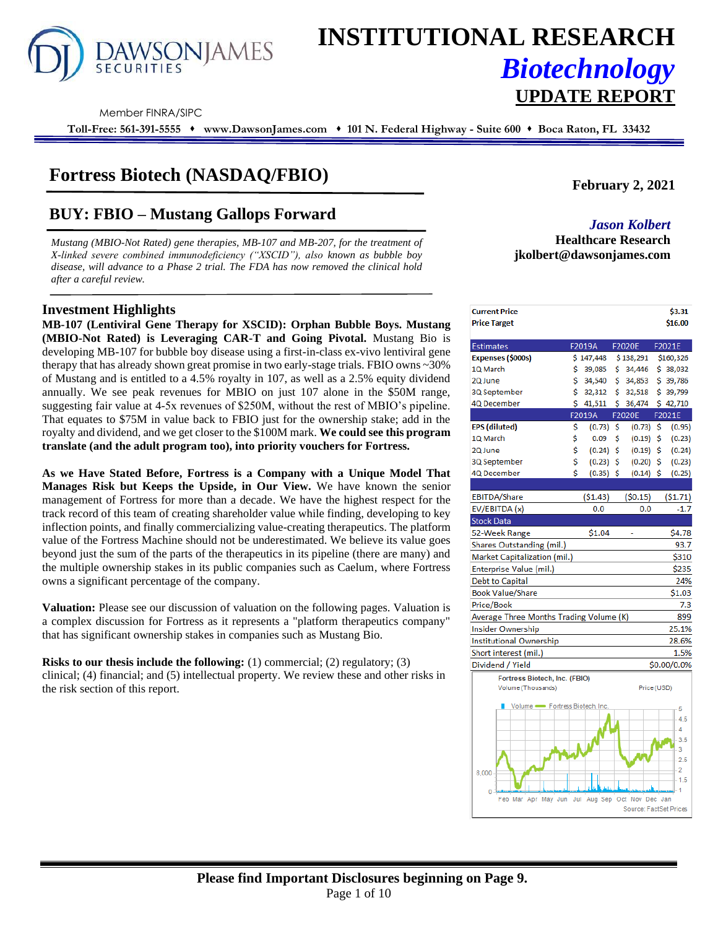

# **INSTITUTIONAL RESEARCH** *Biotechnology*

Member FINRA/SIPC

**Toll-Free: 561-391-5555** ⬧ **www.DawsonJames.com** ⬧ **101 N. Federal Highway - Suite 600** ⬧ **Boca Raton, FL 33432**

### **Fortress Biotech (NASDAQ/FBIO)**

## **BUY: FBIO – Mustang Gallops Forward** *Jason Kolbert*

*Mustang (MBIO-Not Rated) gene therapies, MB-107 and MB-207, for the treatment of X-linked severe combined immunodeficiency ("XSCID"), also known as bubble boy disease, will advance to a Phase 2 trial. The FDA has now removed the clinical hold after a careful review.* 

#### **Investment Highlights**

**MB-107 (Lentiviral Gene Therapy for XSCID): Orphan Bubble Boys. Mustang (MBIO-Not Rated) is Leveraging CAR-T and Going Pivotal.** Mustang Bio is developing MB-107 for bubble boy disease using a first-in-class ex-vivo lentiviral gene therapy that has already shown great promise in two early-stage trials. FBIO owns ~30% of Mustang and is entitled to a 4.5% royalty in 107, as well as a 2.5% equity dividend annually. We see peak revenues for MBIO on just 107 alone in the \$50M range, suggesting fair value at 4-5x revenues of \$250M, without the rest of MBIO's pipeline. That equates to \$75M in value back to FBIO just for the ownership stake; add in the royalty and dividend, and we get closer to the \$100M mark. **We could see this program translate (and the adult program too), into priority vouchers for Fortress.**

**As we Have Stated Before, Fortress is a Company with a Unique Model That Manages Risk but Keeps the Upside, in Our View.** We have known the senior management of Fortress for more than a decade. We have the highest respect for the track record of this team of creating shareholder value while finding, developing to key inflection points, and finally commercializing value-creating therapeutics. The platform value of the Fortress Machine should not be underestimated. We believe its value goes beyond just the sum of the parts of the therapeutics in its pipeline (there are many) and the multiple ownership stakes in its public companies such as Caelum, where Fortress owns a significant percentage of the company.

**Valuation:** Please see our discussion of valuation on the following pages. Valuation is a complex discussion for Fortress as it represents a "platform therapeutics company" that has significant ownership stakes in companies such as Mustang Bio.

**Risks to our thesis include the following:** (1) commercial; (2) regulatory; (3) clinical; (4) financial; and (5) intellectual property. We review these and other risks in the risk section of this report.

**February 2, 2021**

**Healthcare Research jkolbert@dawsonjames.com**

**UPDATE REPORT**

| <b>Current Price</b><br><b>Price Target</b> |    |             |     |               | \$3.31<br>\$16.00 |
|---------------------------------------------|----|-------------|-----|---------------|-------------------|
|                                             |    |             |     |               |                   |
| <b>Estimates</b>                            |    | F2019A      |     | F2020E        | F2021E            |
| Expenses (\$000s)                           |    | \$147,448   |     | \$138,291     | \$160,326         |
| 1Q March                                    | \$ | 39,085      | \$. | 34,446        | \$ 38,032         |
| 2Q June                                     | Ś. | 34,540      | Ś.  | 34,853        | \$39,786          |
| 3Q September                                | \$ | 32,312      | \$  | 32,518        | \$39,799          |
| 4Q December                                 | Ś  | 41,511      | Ś.  | 36,474        | \$42,710          |
|                                             |    | F2019A      |     | <b>F2020E</b> | F2021E            |
| EPS (diluted)                               | \$ | (0.73)      | \$  | (0.73)        | \$<br>(0.95)      |
| 1Q March                                    | \$ | 0.09        | \$  | $(0.19)$ \$   | (0.23)            |
| 2Q June                                     | \$ | (0.24)      | \$  | (0.19)        | \$<br>(0.24)      |
| 3Q September                                | \$ | $(0.23)$ \$ |     | (0.20)        | \$<br>(0.23)      |
| 4Q December                                 | \$ | $(0.35)$ \$ |     | $(0.14)$ \$   | (0.25)            |
|                                             |    |             |     |               |                   |
| EBITDA/Share                                |    | (51.43)     |     | (50.15)       | (51.71)           |
| EV/EBITDA (x)                               |    | 0.0         |     | 0.0           | $-1.7$            |
| <b>Stock Data</b>                           |    |             |     |               |                   |
| 52-Week Range                               |    | \$1.04      |     |               | \$4.78            |
| Shares Outstanding (mil.)                   |    |             |     |               | 93.7              |
| Market Capitalization (mil.)                |    |             |     |               | \$310             |
| Enterprise Value (mil.)                     |    |             |     |               | \$235             |
| <b>Debt to Capital</b>                      |    |             |     |               | 24%               |
| <b>Book Value/Share</b>                     |    |             |     |               | \$1.03            |
| Price/Book                                  |    |             |     |               | 7.3               |
| Average Three Months Trading Volume (K)     |    |             |     |               | 899               |
| <b>Insider Ownership</b>                    |    |             |     |               | 25.1%             |
| Institutional Ownership                     |    |             |     |               | 28.6%             |
| Short interest (mil.)                       |    |             |     |               | 1.5%              |
| Dividend / Yield                            |    |             |     |               | \$0.00/0.0%       |
| Fortress Biotech, Inc. (FBIO)               |    |             |     |               |                   |
| Volume (Thousands)                          |    |             |     | Price (USD)   |                   |
| Volume - Fortress Biotech, Inc.             |    |             |     |               |                   |
|                                             |    |             |     |               | 5                 |
|                                             |    |             |     |               | 4.5<br>4          |
|                                             |    |             |     |               | 3.5               |
|                                             |    |             |     |               | 3                 |
|                                             |    |             |     |               | 2.5               |
| 8,000                                       |    |             |     |               | 2                 |
|                                             |    |             |     |               | 1.5               |

Feb Mar Apr May Jun Jul Aug Sep Oct Nov Dec Jan

Source: FactSet Pri

 $\Omega$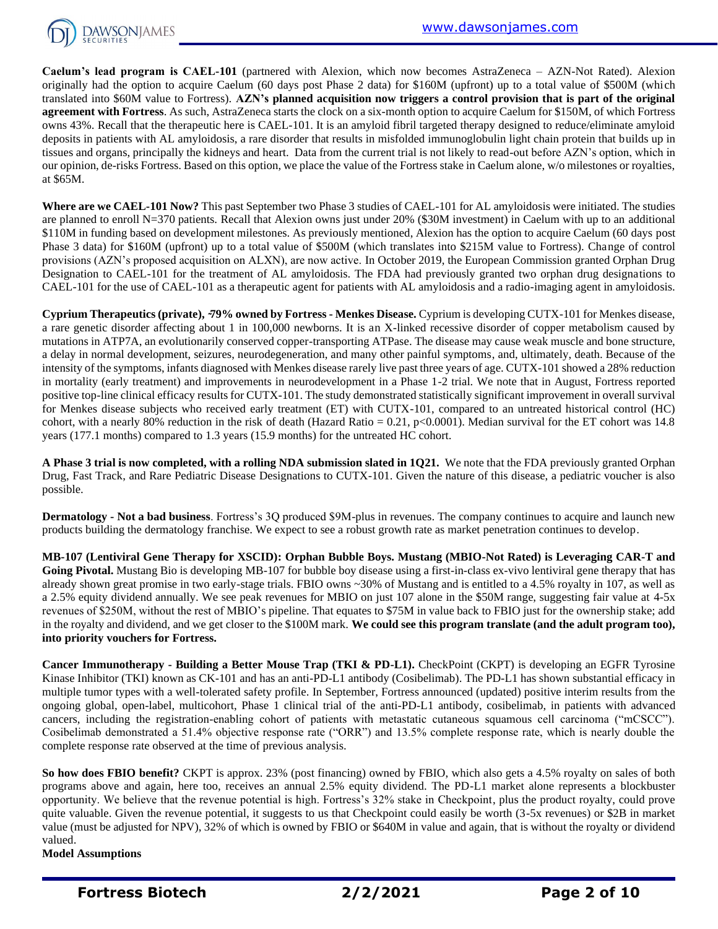

**Caelum's lead program is CAEL-101** (partnered with Alexion, which now becomes AstraZeneca – AZN-Not Rated). Alexion originally had the option to acquire Caelum (60 days post Phase 2 data) for \$160M (upfront) up to a total value of \$500M (which translated into \$60M value to Fortress). **AZN's planned acquisition now triggers a control provision that is part of the original agreement with Fortress**. As such, AstraZeneca starts the clock on a six-month option to acquire Caelum for \$150M, of which Fortress owns 43%. Recall that the therapeutic here is CAEL-101. It is an amyloid fibril targeted therapy designed to reduce/eliminate amyloid deposits in patients with AL amyloidosis, a rare disorder that results in misfolded immunoglobulin light chain protein that builds up in tissues and organs, principally the kidneys and heart. Data from the current trial is not likely to read-out before AZN's option, which in our opinion, de-risks Fortress. Based on this option, we place the value of the Fortress stake in Caelum alone, w/o milestones or royalties, at \$65M.

**Where are we CAEL-101 Now?** This past September two Phase 3 studies of CAEL-101 for AL amyloidosis were initiated. The studies are planned to enroll N=370 patients. Recall that Alexion owns just under 20% (\$30M investment) in Caelum with up to an additional \$110M in funding based on development milestones. As previously mentioned, Alexion has the option to acquire Caelum (60 days post Phase 3 data) for \$160M (upfront) up to a total value of \$500M (which translates into \$215M value to Fortress). Change of control provisions (AZN's proposed acquisition on ALXN), are now active. In October 2019, the European Commission granted Orphan Drug Designation to CAEL-101 for the treatment of AL amyloidosis. The FDA had previously granted two orphan drug designations to CAEL-101 for the use of CAEL-101 as a therapeutic agent for patients with AL amyloidosis and a radio-imaging agent in amyloidosis.

**Cyprium Therapeutics (private), ̴79% owned by Fortress - Menkes Disease.** Cyprium is developing CUTX-101 for Menkes disease, a rare genetic disorder affecting about 1 in 100,000 newborns. It is an X-linked recessive disorder of copper metabolism caused by mutations in ATP7A, an evolutionarily conserved copper-transporting ATPase. The disease may cause weak muscle and bone structure, a delay in normal development, seizures, neurodegeneration, and many other painful symptoms, and, ultimately, death. Because of the intensity of the symptoms, infants diagnosed with Menkes disease rarely live past three years of age. CUTX-101 showed a 28% reduction in mortality (early treatment) and improvements in neurodevelopment in a Phase 1-2 trial. We note that in August, Fortress reported positive top-line clinical efficacy results for CUTX-101. The study demonstrated statistically significant improvement in overall survival for Menkes disease subjects who received early treatment (ET) with CUTX-101, compared to an untreated historical control (HC) cohort, with a nearly 80% reduction in the risk of death (Hazard Ratio = 0.21, p<0.0001). Median survival for the ET cohort was 14.8 years (177.1 months) compared to 1.3 years (15.9 months) for the untreated HC cohort.

**A Phase 3 trial is now completed, with a rolling NDA submission slated in 1Q21.** We note that the FDA previously granted Orphan Drug, Fast Track, and Rare Pediatric Disease Designations to CUTX-101. Given the nature of this disease, a pediatric voucher is also possible.

**Dermatology - Not a bad business**. Fortress's 3Q produced \$9M-plus in revenues. The company continues to acquire and launch new products building the dermatology franchise. We expect to see a robust growth rate as market penetration continues to develop.

**MB-107 (Lentiviral Gene Therapy for XSCID): Orphan Bubble Boys. Mustang (MBIO-Not Rated) is Leveraging CAR-T and**  Going Pivotal. Mustang Bio is developing MB-107 for bubble boy disease using a first-in-class ex-vivo lentiviral gene therapy that has already shown great promise in two early-stage trials. FBIO owns ~30% of Mustang and is entitled to a 4.5% royalty in 107, as well as a 2.5% equity dividend annually. We see peak revenues for MBIO on just 107 alone in the \$50M range, suggesting fair value at 4-5x revenues of \$250M, without the rest of MBIO's pipeline. That equates to \$75M in value back to FBIO just for the ownership stake; add in the royalty and dividend, and we get closer to the \$100M mark. **We could see this program translate (and the adult program too), into priority vouchers for Fortress.**

**Cancer Immunotherapy - Building a Better Mouse Trap (TKI & PD-L1).** CheckPoint (CKPT) is developing an EGFR Tyrosine Kinase Inhibitor (TKI) known as CK-101 and has an anti-PD-L1 antibody (Cosibelimab). The PD-L1 has shown substantial efficacy in multiple tumor types with a well-tolerated safety profile. In September, Fortress announced (updated) positive interim results from the ongoing global, open-label, multicohort, Phase 1 clinical trial of the anti-PD-L1 antibody, cosibelimab, in patients with advanced cancers, including the registration-enabling cohort of patients with metastatic cutaneous squamous cell carcinoma ("mCSCC"). Cosibelimab demonstrated a 51.4% objective response rate ("ORR") and 13.5% complete response rate, which is nearly double the complete response rate observed at the time of previous analysis.

**So how does FBIO benefit?** CKPT is approx. 23% (post financing) owned by FBIO, which also gets a 4.5% royalty on sales of both programs above and again, here too, receives an annual 2.5% equity dividend. The PD-L1 market alone represents a blockbuster opportunity. We believe that the revenue potential is high. Fortress's 32% stake in Checkpoint, plus the product royalty, could prove quite valuable. Given the revenue potential, it suggests to us that Checkpoint could easily be worth (3-5x revenues) or \$2B in market value (must be adjusted for NPV), 32% of which is owned by FBIO or \$640M in value and again, that is without the royalty or dividend valued.

**Model Assumptions**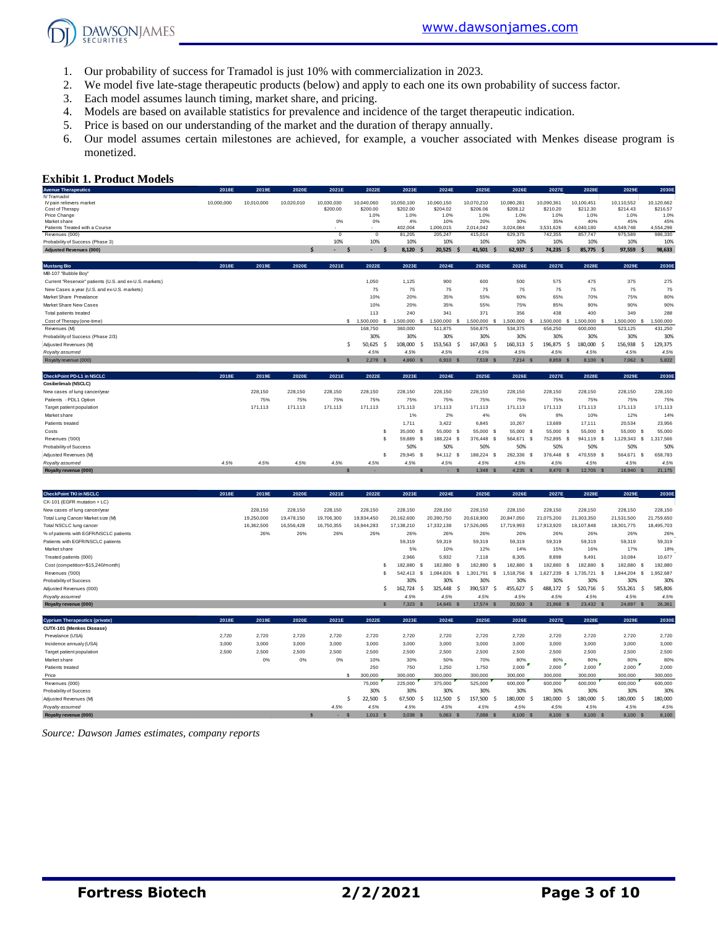**DAWSONJAMES** 

- 1. Our probability of success for Tramadol is just 10% with commercialization in 2023.
- 2. We model five late-stage therapeutic products (below) and apply to each one its own probability of success factor.
- 3. Each model assumes launch timing, market share, and pricing.
- 4. Models are based on available statistics for prevalence and incidence of the target therapeutic indication.
- 5. Price is based on our understanding of the market and the duration of therapy annually.
- 6. Our model assumes certain milestones are achieved, for example, a voucher associated with Menkes disease program is monetized.

#### **Exhibit 1. Product Models**

| <b>Exhibit 1. Product Models</b>                               |            |            |                      |                        |                         |                        |                                       |                          |                          |                          |                          |                          |                          |
|----------------------------------------------------------------|------------|------------|----------------------|------------------------|-------------------------|------------------------|---------------------------------------|--------------------------|--------------------------|--------------------------|--------------------------|--------------------------|--------------------------|
| <b>Avenue Therapeutics</b>                                     | 2018E      | 2019E      | 2020E                | 2021E                  | 2022E                   | 2023E                  | 2024E                                 | 2025E                    | 2026E                    | 2027E                    | 2028E                    | 2029E                    | 2030E                    |
| IV Tramadol<br>IV pain relievers market<br>Cost of Therapy     | 10,000,000 | 10.010.000 | 10.020.010           | 10.030.030<br>\$200.00 | 10.040.060<br>\$200.00  | 10.050.100<br>\$202.00 | 10.060.150<br>\$204.02                | 10,070,210<br>\$206.06   | 10.080.281<br>\$208.12   | 10.090.361<br>\$210.20   | 10.100.451<br>\$212.30   | 10.110.552<br>\$214.43   | 10.120.662<br>\$216.57   |
| Price Change<br>Market share<br>Patients Treated with a Course |            |            |                      | 0%                     | 1.0%<br>0%              | 1.0%<br>4%<br>402.004  | 1.0%<br>10%<br>1.006.015              | 1.0%<br>20%<br>2.014.042 | 1.0%<br>30%<br>3.024.084 | 1.0%<br>35%<br>3.531.626 | 1.0%<br>40%<br>4.040.180 | 1.0%<br>45%<br>4.549.748 | 1.0%<br>45%<br>4.554.298 |
| Revenues (000)<br>Probability of Success (Phase 3)             |            |            |                      | $^{\circ}$<br>10%      | $\mathbf{0}$<br>10%     | 81.205<br>10%          | 205.247<br>10%                        | 415.014<br>10%           | 629.375<br>10%           | 742,355<br>10%           | 857.747<br>10%           | 975,589<br>10%           | 986.330<br>10%           |
| <b>Adiusted Revenues (000)</b>                                 |            |            | $\ddot{\phantom{0}}$ | S                      |                         | 8.120                  | 20.525                                | 41.501<br><b>S</b>       | 62.937<br>-S             | 74.235                   | 85.775 \$<br>S           | 97.559<br>×,             | 98.633                   |
| <b>Mustang Bio</b>                                             | 2018E      | 2019E      | 2020E                | 2021E                  | 2022E                   | 2023E                  | 2024E                                 | 2025E                    | 2026E                    | 2027E                    | 2028E                    | 2029E                    | 2030E                    |
| MB-107 "Bubble Boy"                                            |            |            |                      |                        |                         |                        |                                       |                          |                          |                          |                          |                          |                          |
| Current "Reservoir" patients (U.S. and ex-U.S. markets)        |            |            |                      |                        | 1.050                   | 1.125                  | 900                                   | 600                      | 500                      | 575                      | 475                      | 375                      | 275                      |
| New Cases a year (U.S. and ex-U.S. markets)                    |            |            |                      |                        | 75                      | 75                     | 75                                    | 75                       | 75                       | 75                       | 75                       | 75                       | 75                       |
| Market Share Prevalance                                        |            |            |                      |                        | 10%                     | 20%                    | 35%                                   | 55%                      | 60%                      | 65%                      | 70%                      | 75%                      | 80%                      |
| Market Share New Cases                                         |            |            |                      |                        | 10%                     | 20%                    | 35%                                   | 55%                      | 75%                      | 85%                      | 90%                      | 90%                      | 90%                      |
| Total patients treated                                         |            |            |                      |                        | 113                     | 240                    | 341                                   | 371                      | 356                      | 438                      | 400                      | 349                      | 288                      |
| Cost of Therapy (one-time)                                     |            |            |                      |                        | \$1.500,000<br><b>S</b> | 1.500.000              | 1,500,000<br>-S<br>$\hat{\mathbf{z}}$ | 1,500,000<br>-S          | 1,500,000<br>-8          | 1.500.000                | 1,500,000 \$<br>s.       | 1.500.000 S              | 1,500,000                |
| Revenues (M)                                                   |            |            |                      |                        | 168,750                 | 360,000                | 511,875                               | 556,875                  | 534.375                  | 656,250                  | 600.000                  | 523.125                  | 431.250                  |
| Probability of Success (Phase 2/3)                             |            |            |                      |                        | 30%                     | 30%                    | 30%                                   | 30%                      | 30%                      | 30%                      | 30%                      | 30%                      | 30%                      |
| Adiusted Revenues (M)                                          |            |            |                      | Š.                     | 50.625                  | 108,000                | 153.563<br>.S<br>-S                   | 167.063<br>- Ś           | 160.313<br>-Ŝ            | 196.875                  | 180,000 \$<br>Ŝ.         | 156.938<br>S.            | 129,375                  |
| Royalty assumed                                                |            |            |                      |                        | 4.5%                    | 4.5%                   | 4.5%                                  | 4.5%                     | 4.5%                     | 4.5%                     | 4.5%                     | 4.5%                     | 4.5%                     |
| Royalty revenue (000)                                          |            |            |                      | $\mathbf{S}$           | $2.278$ \$              | 4,860<br>$\mathcal{S}$ | 6.910 \$                              | 7.518 S                  | $7.214$ \$               | 8.859 \$                 | 8,100 \$                 | $7.062$ S                | 5,822                    |
| CheckPoint PD-L1 in NSCLC                                      | 2018E      | 2019E      | 2020E                | 2021E                  | 2022E                   | 2023E                  | 2024E                                 | 2025E                    | 2026E                    | 2027E                    | 2028E                    | 2029E                    | 2030E                    |
| Cosibelimab (NSCLC)                                            |            |            |                      |                        |                         |                        |                                       |                          |                          |                          |                          |                          |                          |
| New cases of lung cancer/year                                  |            | 228,150    | 228,150              | 228,150                | 228,150                 | 228,150                | 228,150                               | 228,150                  | 228,150                  | 228,150                  | 228,150                  | 228,150                  | 228,150                  |
| Patients - PDL1 Option                                         |            | 75%        | 75%                  | 75%                    | 75%                     | 75%                    | 75%                                   | 75%                      | 75%                      | 75%                      | 75%                      | 75%                      | 75%                      |
| Target patient population                                      |            | 171.113    | 171.113              | 171,113                | 171.113                 | 171.113                | 171.113                               | 171,113                  | 171.113                  | 171,113                  | 171.113                  | 171.113                  | 171.113                  |
| Market share                                                   |            |            |                      |                        |                         | 1%                     | 2%                                    | 4%                       | 6%                       | 8%                       | 10%                      | 12%                      | 14%                      |
| Patients treated                                               |            |            |                      |                        |                         | 1.711                  | 3.422                                 | 6.845                    | 10.267                   | 13,689                   | 17.111                   | 20.534                   | 23.956                   |
| Costs                                                          |            |            |                      |                        | $\mathbf{s}$            | 35,000                 | 55,000 \$<br>-S                       | 55,000 S                 | 55,000<br>- \$           | 55,000 \$                | 55,000 \$                | 55,000 S                 | 55,000                   |
| Revenues ('000)                                                |            |            |                      |                        | $\mathbf{s}$            | 59,889                 | 188.224 \$<br>-S                      | 376,448 \$               | 564,671 \$               | 752.895 \$               | 941,119 \$               | 1,129,343 \$             | 1,317,566                |
| Probability of Success                                         |            |            |                      |                        |                         | 50%                    | 50%                                   | 50%                      | 50%                      | 50%                      | 50%                      | 50%                      | 50%                      |
| Adjusted Revenues (M)                                          |            |            |                      |                        | s                       | 29.945                 | 94.112 \$<br>-S                       | 188,224<br>- S           | 282,336<br>-8            | 376,448                  | 470,559 \$<br>- \$       | 564,671<br>- S           | 658,783                  |
| Rovalty assumed                                                | 4.5%       | 4.5%       | 4.5%                 | 4.5%                   | 4.5%                    | 4.5%                   | 4.5%                                  | 4.5%                     | 4.5%                     | 4.5%                     | 4.5%                     | 4.5%                     | 4.5%                     |
| Royalty revenue (000)                                          |            |            |                      | e                      |                         |                        | $-$ \$                                | 1.348 S                  | $4.235$ \$               | 8.470 \$                 | 12.705 \$                | 16,940 S                 | 21,175                   |

| <b>CheckPoint TKI in NSCLC</b>         | 2018E | 2019E      | 2020E      | 2021E      | 2022E         | 2023E                    | 2024E             | 2025E      | 2026E                  | 2027E          | 2028E                            | 2029E               | 2030E      |
|----------------------------------------|-------|------------|------------|------------|---------------|--------------------------|-------------------|------------|------------------------|----------------|----------------------------------|---------------------|------------|
| CK-101 (EGFR mutation + LC)            |       |            |            |            |               |                          |                   |            |                        |                |                                  |                     |            |
| New cases of lung cancer/year          |       | 228,150    | 228,150    | 228,150    | 228,150       | 228.150                  | 228,150           | 228,150    | 228,150                | 228,150        | 228,150                          | 228,150             | 228,150    |
| Total Lung Cancer Market size (M)      |       | 19,250,000 | 19,478,150 | 19,706,300 | 19,934,450    | 20,162,600               | 20,390,750        | 20,618,900 | 20,847,050             | 21,075,200     | 21,303,350                       | 21,531,500          | 21,759,650 |
| Total NSCLC lung cancer                |       | 16,362,500 | 16,556,428 | 16,750,355 | 16,944,283    | 17,138,210               | 17,332,138        | 17,526,065 | 17,719,993             | 17,913,920     | 18,107,848                       | 18,301,775          | 18,495,703 |
| % of patients with EGFR/NSCLC patients |       | 26%        | 26%        | 26%        | 26%           | 26%                      | 26%               | 26%        | 26%                    | 26%            | 26%                              | 26%                 | 26%        |
| Patients with EGFR/NSCLC patients      |       |            |            |            |               | 59.319                   | 59.319            | 59.319     | 59.319                 | 59.319         | 59.319                           | 59.319              | 59,319     |
| Market share                           |       |            |            |            |               | 5%                       | 10%               | 12%        | 14%                    | 15%            | 16%                              | 17%                 | 18%        |
| Treated patients (000)                 |       |            |            |            |               | 2,966                    | 5,932             | 7,118      | 8,305                  | 8,898          | 9,491                            | 10,084              | 10,677     |
| Cost (competition=\$15.240/month)      |       |            |            |            |               | 182,880                  | 182.880<br>- 93   | 182,880    | 182,880                | 182,880<br>- 3 | 182,880 \$<br>- \$               | 182,880 S           | 182,880    |
| Revenues ('000)                        |       |            |            |            |               | 542.413<br>\$.           | 1.084.826<br>- \$ | 1.301.791  | .518.756<br>-S         | .627.239<br>s  | 735.721 \$<br>$\mathbf{\hat{s}}$ | 1,844,204<br>.s     | 952,687    |
| Probability of Success                 |       |            |            |            |               | 30%                      | 30%               | 30%        | 30%                    | 30%            | 30%                              | 30%                 | 30%        |
| Adjusted Revenues (000)                |       |            |            |            |               | 162.724                  | 325,448           | 390.537    | 455.627                | 488.172<br>-   | 520.716 \$                       | 553.261<br><b>S</b> | 585,806    |
| Royalty assumed                        |       |            |            |            |               | 4.5%                     | 4.5%              | 4.5%       | 4.5%                   | 4.5%           | 4.5%                             | 4.5%                | 4.5%       |
| Royalty revenue (000)                  |       |            |            |            |               | $\mathbf{s}$<br>7,323 \$ | 14,645 \$         | 17,574     | 20,503<br>$\mathbf{s}$ | 21,968         | 23,432 \$                        | 24,897 \$           | 26,361     |
|                                        |       |            |            |            |               |                          |                   |            |                        |                |                                  |                     |            |
| <b>Cyprium Therapeutics (private)</b>  | 2018E | 2019E      | 2020E      | 2021E      | 2022E         | 2023E                    | 2024E             | 2025E      | 2026E                  | 2027E          | 2028E                            | 2029E               | 2030E      |
| CUTX-101 (Menkes Disease)              |       |            |            |            |               |                          |                   |            |                        |                |                                  |                     |            |
| Prevalance (USA)                       | 2,720 | 2,720      | 2,720      | 2,720      | 2,720         | 2,720                    | 2,720             | 2,720      | 2,720                  | 2,720          | 2,720                            | 2,720               | 2,720      |
| Incidence annualy (USA)                | 3.000 | 3.000      | 3,000      | 3,000      | 3,000         | 3,000                    | 3,000             | 3.000      | 3,000                  | 3,000          | 3,000                            | 3,000               | 3.000      |
| Target patient population              | 2.500 | 2.500      | 2,500      | 2.500      | 2.500         | 2.500                    | 2.500             | 2.500      | 2.500                  | 2.500          | 2.500                            | 2,500               | 2.500      |
| Market share                           |       | 0%         | 0%         | 0%         | 10%           | 30%                      | 50%               | 70%        | 80%                    | 80%            | 80%                              | 80%                 | 80%        |
| Patients treated                       |       |            |            |            | 250           | 750                      | 1.250             | 1.750      | 2,000                  | 2,000          | 2,000                            | 2,000               | 2.000      |
| Price                                  |       |            |            | s          | 300,000       | 300,000                  | 300,000           | 300,000    | 300,000                | 300,000        | 300,000                          | 300,000             | 300,000    |
| Revenues (000)                         |       |            |            |            | 75,000        | 225,000                  | 375,000           | 525,000    | 600,000                | 600,000        | 600,000                          | 600,000             | 600,000    |
| Probability of Success                 |       |            |            |            | 30%           | 30%                      | 30%               | 30%        | 30%                    | 30%            | 30%                              | 30%                 | 30%        |
| Adjusted Revenues (M)                  |       |            |            | Ś          | 22,500<br>- 5 | 67,500                   | 112,500           | 157,500    | 180,000                | 180,000<br>-S  | 180,000 \$                       | 180,000<br>.S       | 180,000    |
| Royalty assumed                        |       |            |            | 4.5%       | 4.5%          | 4.5%                     | 4.5%              | 4.5%       | 4.5%                   | 4.5%           | 4.5%                             | 4.5%                | 4.5%       |
| Royalty revenue (000)                  |       |            |            | S          | $1.013$ \$    | 3.038                    | 5,063<br>- S      | 7,088      | 8,100<br>$\mathbf{s}$  | 8,100          | 8,100 \$                         | 8.100 S             | 8,100      |

*Source: Dawson James estimates, company reports*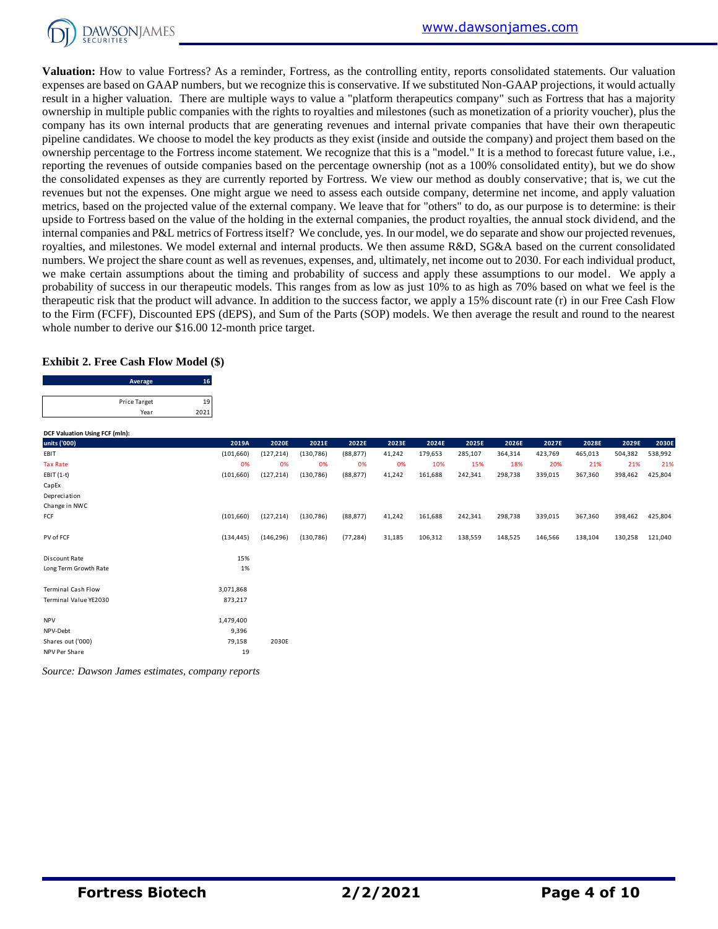

**Valuation:** How to value Fortress? As a reminder, Fortress, as the controlling entity, reports consolidated statements. Our valuation expenses are based on GAAP numbers, but we recognize this is conservative. If we substituted Non-GAAP projections, it would actually result in a higher valuation. There are multiple ways to value a "platform therapeutics company" such as Fortress that has a majority ownership in multiple public companies with the rights to royalties and milestones (such as monetization of a priority voucher), plus the company has its own internal products that are generating revenues and internal private companies that have their own therapeutic pipeline candidates. We choose to model the key products as they exist (inside and outside the company) and project them based on the ownership percentage to the Fortress income statement. We recognize that this is a "model." It is a method to forecast future value, i.e., reporting the revenues of outside companies based on the percentage ownership (not as a 100% consolidated entity), but we do show the consolidated expenses as they are currently reported by Fortress. We view our method as doubly conservative; that is, we cut the revenues but not the expenses. One might argue we need to assess each outside company, determine net income, and apply valuation metrics, based on the projected value of the external company. We leave that for "others" to do, as our purpose is to determine: is their upside to Fortress based on the value of the holding in the external companies, the product royalties, the annual stock dividend, and the internal companies and P&L metrics of Fortress itself? We conclude, yes. In our model, we do separate and show our projected revenues, royalties, and milestones. We model external and internal products. We then assume R&D, SG&A based on the current consolidated numbers. We project the share count as well as revenues, expenses, and, ultimately, net income out to 2030. For each individual product, we make certain assumptions about the timing and probability of success and apply these assumptions to our model. We apply a probability of success in our therapeutic models. This ranges from as low as just 10% to as high as 70% based on what we feel is the therapeutic risk that the product will advance. In addition to the success factor, we apply a 15% discount rate (r) in our Free Cash Flow to the Firm (FCFF), Discounted EPS (dEPS), and Sum of the Parts (SOP) models. We then average the result and round to the nearest

#### **Exhibit 2. Free Cash Flow Model (\$)**

| whole number to derive our \$16.00 12-month price target. |            |  |
|-----------------------------------------------------------|------------|--|
| <b>Exhibit 2. Free Cash Flow Model (\$)</b>               |            |  |
| Average                                                   | 16         |  |
| Price Target<br>Year                                      | 19<br>2021 |  |

| DCF Valuation Using FCF (mln): |            |            |            |           |        |         |         |         |         |         |         |         |
|--------------------------------|------------|------------|------------|-----------|--------|---------|---------|---------|---------|---------|---------|---------|
| units ('000)                   | 2019A      | 2020E      | 2021E      | 2022E     | 2023E  | 2024E   | 2025E   | 2026E   | 2027E   | 2028E   | 2029E   | 2030E   |
| EBIT                           | (101, 660) | (127, 214) | (130, 786) | (88, 877) | 41,242 | 179,653 | 285,107 | 364,314 | 423,769 | 465,013 | 504,382 | 538,992 |
| <b>Tax Rate</b>                | 0%         | 0%         | 0%         | 0%        | 0%     | 10%     | 15%     | 18%     | 20%     | 21%     | 21%     | 21%     |
| $EBIT(1-t)$                    | (101, 660) | (127, 214) | (130, 786) | (88, 877) | 41,242 | 161,688 | 242,341 | 298,738 | 339,015 | 367,360 | 398,462 | 425,804 |
| CapEx                          |            |            |            |           |        |         |         |         |         |         |         |         |
| Depreciation                   |            |            |            |           |        |         |         |         |         |         |         |         |
| Change in NWC                  |            |            |            |           |        |         |         |         |         |         |         |         |
| FCF                            | (101, 660) | (127, 214) | (130, 786) | (88, 877) | 41,242 | 161,688 | 242,341 | 298,738 | 339,015 | 367,360 | 398,462 | 425,804 |
| PV of FCF                      | (134, 445) | (146, 296) | (130, 786) | (77, 284) | 31,185 | 106,312 | 138,559 | 148,525 | 146,566 | 138,104 | 130,258 | 121,040 |
| Discount Rate                  | 15%        |            |            |           |        |         |         |         |         |         |         |         |
| Long Term Growth Rate          | 1%         |            |            |           |        |         |         |         |         |         |         |         |
| <b>Terminal Cash Flow</b>      | 3,071,868  |            |            |           |        |         |         |         |         |         |         |         |
| Terminal Value YE2030          | 873,217    |            |            |           |        |         |         |         |         |         |         |         |
| <b>NPV</b>                     | 1,479,400  |            |            |           |        |         |         |         |         |         |         |         |
| NPV-Debt                       | 9,396      |            |            |           |        |         |         |         |         |         |         |         |
| Shares out ('000)              | 79,158     | 2030E      |            |           |        |         |         |         |         |         |         |         |
| NPV Per Share                  | 19         |            |            |           |        |         |         |         |         |         |         |         |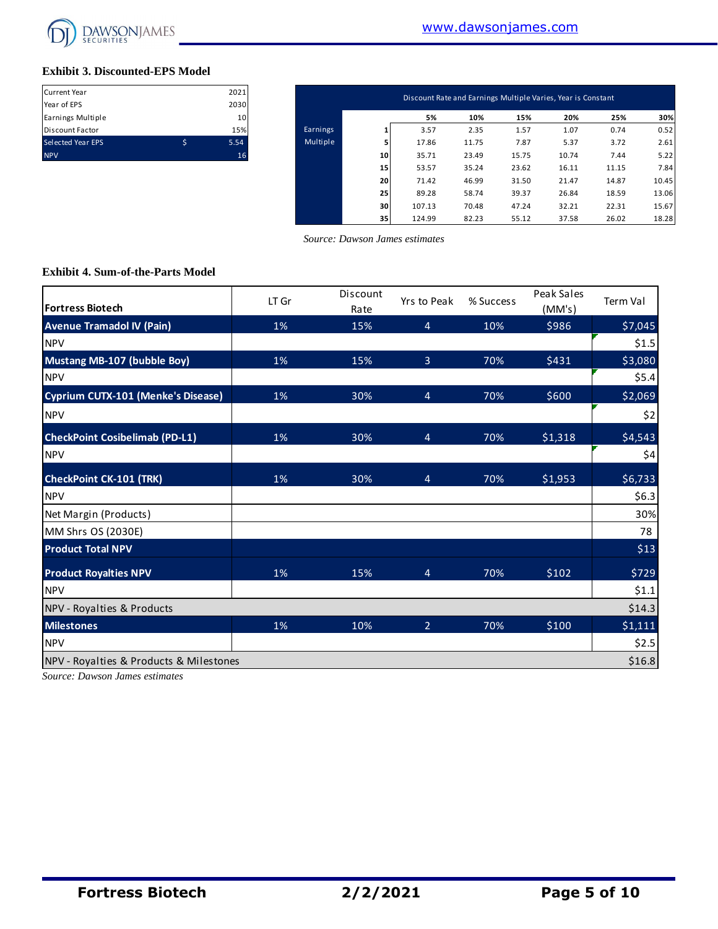

#### **Exhibit 3. Discounted-EPS Model**

| <b>Current Year</b>      |   | 2021 |
|--------------------------|---|------|
| Year of EPS              |   | 2030 |
| Earnings Multiple        |   | 10   |
| <b>Discount Factor</b>   |   | 15%  |
| <b>Selected Year EPS</b> | S | 5.54 |
| <b>NPV</b>               |   | 16   |

| Current Year<br>Year of EPS | 2021<br>2030 |          |    | Discount Rate and Earnings Multiple Varies, Year is Constant |       |       |       |       |       |
|-----------------------------|--------------|----------|----|--------------------------------------------------------------|-------|-------|-------|-------|-------|
| Earnings Multiple           | 10           |          |    | 5%                                                           | 10%   | 15%   | 20%   | 25%   | 30%   |
| Discount Factor             | 15%          | Earnings |    | 3.57                                                         | 2.35  | 1.57  | 1.07  | 0.74  | 0.52  |
| Selected Year EPS           | \$<br>5.54   | Multiple |    | 17.86                                                        | 11.75 | 7.87  | 5.37  | 3.72  | 2.61  |
| <b>NPV</b>                  | 16           |          | 10 | 35.71                                                        | 23.49 | 15.75 | 10.74 | 7.44  | 5.22  |
|                             |              |          | 15 | 53.57                                                        | 35.24 | 23.62 | 16.11 | 11.15 | 7.84  |
|                             |              |          | 20 | 71.42                                                        | 46.99 | 31.50 | 21.47 | 14.87 | 10.45 |
|                             |              |          | 25 | 89.28                                                        | 58.74 | 39.37 | 26.84 | 18.59 | 13.06 |
|                             |              |          | 30 | 107.13                                                       | 70.48 | 47.24 | 32.21 | 22.31 | 15.67 |
|                             |              |          | 35 | 124.99                                                       | 82.23 | 55.12 | 37.58 | 26.02 | 18.28 |

 *Source: Dawson James estimates*

#### **Exhibit 4. Sum-of-the-Parts Model**

| <b>Fortress Biotech</b>                 | LT Gr | Discount<br>Rate | Yrs to Peak    | % Success | Peak Sales<br>(MM's) | Term Val |
|-----------------------------------------|-------|------------------|----------------|-----------|----------------------|----------|
| <b>Avenue Tramadol IV (Pain)</b>        | 1%    | 15%              | $\overline{4}$ | 10%       | \$986                | \$7,045  |
| <b>NPV</b>                              |       |                  |                |           |                      | \$1.5    |
| Mustang MB-107 (bubble Boy)             | 1%    | 15%              | $\overline{3}$ | 70%       | \$431                | \$3,080  |
| <b>NPV</b>                              |       |                  |                |           |                      | \$5.4    |
| Cyprium CUTX-101 (Menke's Disease)      | 1%    | 30%              | $\overline{4}$ | 70%       | \$600                | \$2,069  |
| <b>NPV</b>                              |       |                  |                |           |                      | \$2      |
| <b>CheckPoint Cosibelimab (PD-L1)</b>   | 1%    | 30%              | $\overline{4}$ | 70%       | \$1,318              | \$4,543  |
| <b>NPV</b>                              |       |                  |                |           |                      | \$4      |
| <b>CheckPoint CK-101 (TRK)</b>          | 1%    | 30%              | $\overline{4}$ | 70%       | \$1,953              | \$6,733  |
| <b>NPV</b>                              |       |                  |                |           |                      | \$6.3    |
| Net Margin (Products)                   |       |                  |                |           |                      | 30%      |
| MM Shrs OS (2030E)                      |       |                  |                |           |                      | 78       |
| <b>Product Total NPV</b>                |       |                  |                |           |                      | \$13     |
| <b>Product Royalties NPV</b>            | 1%    | 15%              | $\overline{4}$ | 70%       | \$102                | \$729    |
| <b>NPV</b>                              |       |                  |                |           |                      | \$1.1    |
| NPV - Royalties & Products              |       |                  |                |           |                      | \$14.3   |
| <b>Milestones</b>                       | 1%    | 10%              | $\overline{2}$ | 70%       | \$100                | \$1,111  |
| <b>NPV</b>                              |       |                  |                |           |                      | \$2.5    |
| NPV - Royalties & Products & Milestones |       |                  |                |           |                      | \$16.8   |

*Source: Dawson James estimates*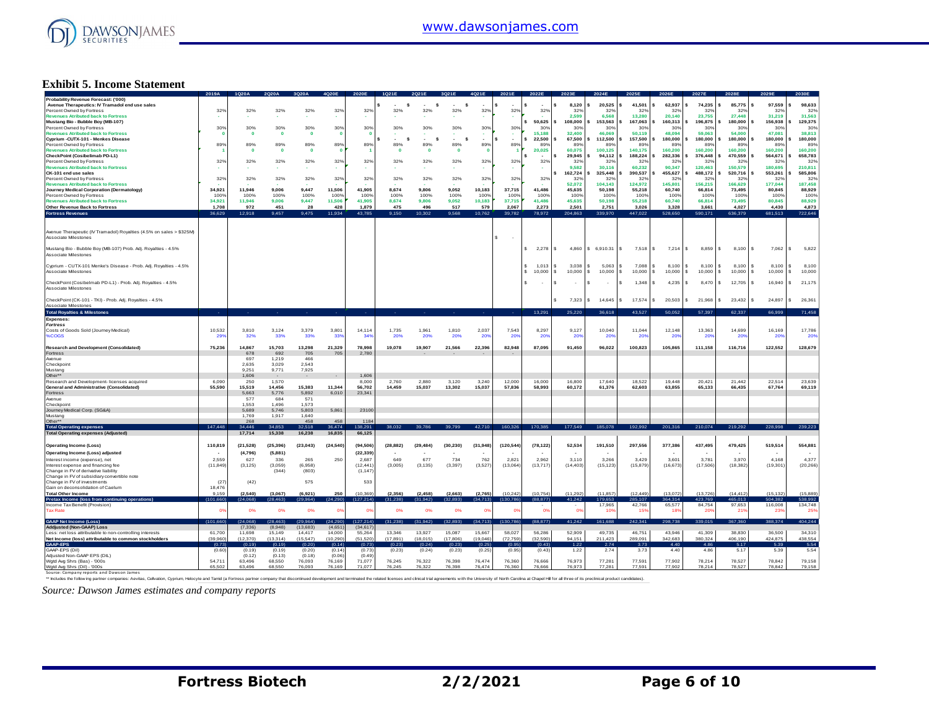

#### **Exhibit 5. Income Statement**

|                                                                                                                                                                                                                               | 2019A     |              |              |                         |                |                 |           |             |              |                |                               |                |                               |                   |                        |                     | 2027F                 |                        |                    |                    |
|-------------------------------------------------------------------------------------------------------------------------------------------------------------------------------------------------------------------------------|-----------|--------------|--------------|-------------------------|----------------|-----------------|-----------|-------------|--------------|----------------|-------------------------------|----------------|-------------------------------|-------------------|------------------------|---------------------|-----------------------|------------------------|--------------------|--------------------|
| Probability Revenue Forecast: ('000)<br>Avenue Therapeutics: IV Tramadol end use sales                                                                                                                                        |           |              |              |                         |                |                 | s         | s           | s            |                |                               |                | 8.120                         | 20,525            | 41,501                 | 62,937              | 74,235                | 85,775                 | 97,559             | 98,633             |
| Percent Owned by Fortress                                                                                                                                                                                                     | 32%       | 32%          | 32%          | 32%                     | 32%            | 32%             | 32%       | 32%         | 32%          | 32%            | 32%                           | 32%            | 32%                           | 329               | 323                    | 32%                 | 32%                   | 329                    | 329                | 32%                |
| <b>Revenues Atributed back to Fortress</b>                                                                                                                                                                                    |           |              |              |                         |                |                 |           |             |              |                |                               |                | 2.599                         | 6,568             | 13,280                 | 20,140              | 23,755                | 27,448                 | 31,219             | 31,563             |
| Mustang Bio - Bubble Boy (MB-107)                                                                                                                                                                                             |           |              |              |                         |                |                 |           |             |              |                |                               | 50,625         | 108,000                       | 153,563           | 167,063                | 160,313             | 196,875               | 180,000                | 156,938            | 129,375            |
| Percent Owned by Fortress                                                                                                                                                                                                     | 30%       | 30%          | 30%          | 30%                     | 30%            | 30%             | 30%       | 30%         | 30%          | 30%            | 30%                           | 30%            | 30%                           | 30%               | 30%                    | 30%                 | 30 <sup>°</sup>       | 30 <sup>9</sup>        | 30%                | 30%                |
| <b>Revenues Atributed back to Fortress</b>                                                                                                                                                                                    |           | $\mathbf{0}$ | $\mathbf{o}$ | $\overline{\mathbf{0}}$ | $\Omega$       |                 |           |             |              |                |                               | 15.188         | 32,400                        | 46.069            | 50.119                 | 48.094              | 59.063                | 54,000                 | 47.081             | 38,813             |
| Cyprium -CUTX-101 - Menkes Disease                                                                                                                                                                                            |           |              |              |                         |                |                 | <b>s</b>  | s           | s            |                |                               | 22,500         | 67,500                        | 112,500           | 157,500                | 180,000             | 180,000               | 180,000                | 180,000            | 180,000            |
| Percent Owned by Fortress                                                                                                                                                                                                     | 89%       | 89%          | 89%          | 89%                     | 89%            | 89%             | 89%       | 89%         | 89%          | 89%            | 89%                           | 89%            | 89%                           | 89%               | 89%                    | 89%                 | 89%                   | 899                    | 89%                | 89%                |
| <b>Revenues Atributed back to Fortress</b>                                                                                                                                                                                    |           | $\mathbf 0$  | $\mathbf{o}$ | $\mathbf{0}$            |                |                 | $\Omega$  | $\mathbf 0$ | $\mathbf{0}$ | $\Omega$       |                               | 20,025         | 60,075                        | 100,125           | 140,175                | 160,200             | 160,200               | 160,200                | 160,200            | 160,200            |
| CheckPoint (Cosibelimab PD-L1)                                                                                                                                                                                                |           |              |              |                         |                |                 |           |             |              |                |                               | <b>.</b>       | 29,945                        | 94.112            | 188,224                | 282.336             | 376,448               | 470,559                | 564.671            | 658,783            |
| Percent Owned by Fortress                                                                                                                                                                                                     | 32%       | 32%          | 32%          | 32%                     | 32%            | 32%             | 32%       | 32%         | 32%          | 32%            | 32%                           | 32%            | 329<br>9,582                  | 329               | 329                    | 329                 | 329                   | 32 <sup>o</sup>        | 329                | 329                |
| <b>Revenues Atributed back to Fortress</b><br>CK-101 end use sales                                                                                                                                                            |           |              |              |                         |                |                 |           |             |              |                |                               |                | 162,724                       | 30,116<br>325,448 | 60,232<br>390,537      | 90,347<br>455,627   | 120,463<br>488,172    | 150,579<br>520,716     | 180,695<br>553,261 | 210,811<br>585,806 |
| Percent Owned by Fortress                                                                                                                                                                                                     |           | 32%          | 32%          | 32%                     |                |                 | 32%       | 32%         | 32%          | 32%            |                               |                | 329                           | 32%               | 32%                    | 32%                 | 32%                   | 32 <sup>o</sup>        | 32 <sup>0</sup>    | 32%                |
| <b>Revenues Atributed back to Fortress</b>                                                                                                                                                                                    | 32%       |              |              |                         | 32%            | 32%             |           |             |              |                | 32%                           | 32%            | 52.072                        | 104,143           | 124,972                | 145,801             | 156,215               | 166,629                | 177,044            | 187,458            |
| Journey Medical Corporation (Dermatology)                                                                                                                                                                                     | 34.921    | 11.946       | 9.006        | 9.447                   | 11.506         | 41.905          | 8.674     | 9.806       | 9.052        | 10.183         | 37.715                        | 41.486         | 45.635                        | 50.198            | 55.218                 | 60.740              | 66.814                | 73.495                 | 80.845             | 88.929             |
| Percent Owned by Fortress                                                                                                                                                                                                     | 100%      | 100%         | 100%         | 100%                    | 100%           | 1009            | 100%      | 100%        | 100%         | 100%           | 100%                          | 100%           | 1009                          | 100%              | 100%                   | 100%                | 100%                  | 1009                   | 100%               | 100%               |
| <b>Revenues Atributed back to Fortress</b>                                                                                                                                                                                    | 34,921    | 11,946       | 9,006        | 9,447                   | 11,506         | 41,905          | 8,674     | 9,806       | 9,052        | 10,183         | 37,715                        | 41,486         | 45,635                        | 50,198            | 55,218                 | 60,740              | 66,814                | 73,495                 | 80,845             | 88,929             |
| Other Revenue Back to Fortress                                                                                                                                                                                                | 1.708     | 972          | 451          | 28                      | 428            | 1.879           | 475       | 496         | 517          | 579            | 2.067                         | 2.273          | 2.501                         | 2.751             | 3.026                  | 3.328               | 3.661                 | 4.027                  | 4,430              | 4.873              |
|                                                                                                                                                                                                                               | 36,629    | 12,918       | 9.457        | 9,475                   | 11,934         | 43,785          | 9.150     | 10.302      | 9.568        | 10,762         | 39,782                        | 78,972         | 204,863                       | 339,970           | 447.022                | 528,650             | 590,171               | 636,379                | 681,513            | 722,646            |
| <b>Fortress Revenues</b>                                                                                                                                                                                                      |           |              |              |                         |                |                 |           |             |              |                |                               |                |                               |                   |                        |                     |                       |                        |                    |                    |
|                                                                                                                                                                                                                               |           |              |              |                         |                |                 |           |             |              |                |                               |                |                               |                   |                        |                     |                       |                        |                    |                    |
| Avenue Therapeutic (IV Tramadol) Royalties (4.5% on sales > \$325M)<br>Associate Milestones                                                                                                                                   |           |              |              |                         |                |                 |           |             |              |                | s<br>$\overline{\phantom{a}}$ |                |                               |                   |                        |                     |                       |                        |                    |                    |
| Mustang Bio - Bubble Boy (MB-107) Prob. Adj. Royalties - 4.5%                                                                                                                                                                 |           |              |              |                         |                |                 |           |             |              |                |                               | \$2,278        | 4860<br>l S                   | \$6,910.31        | l s<br>7.518           | l s<br>$7.214$ S    | 8.859                 | 8,100<br>$\mathbf{s}$  | 7,062<br>-S.       | $\sim$<br>5,822    |
| Associate Milestones                                                                                                                                                                                                          |           |              |              |                         |                |                 |           |             |              |                |                               |                |                               |                   |                        |                     |                       |                        |                    |                    |
|                                                                                                                                                                                                                               |           |              |              |                         |                |                 |           |             |              |                |                               |                |                               |                   |                        |                     |                       |                        |                    |                    |
| Cyprium - CUTX-101 Menke's Disease - Prob. Adj. Royalties - 4.5%                                                                                                                                                              |           |              |              |                         |                |                 |           |             |              |                |                               | 1.013          | 3.038<br>-S.                  | 5.063             | 7.088                  | $8,100$ \ \$<br>-S. | 8.100                 | s.<br>8,100            | 8.100              | l s<br>8,100       |
| Associate Milestones                                                                                                                                                                                                          |           |              |              |                         |                |                 |           |             |              |                |                               | 10,000         | <b>S</b><br>10,000            | 10,000<br>s.      | 10,000<br>$\mathbf{s}$ | s.<br>10,000        | s.<br>10,000          | s.<br>10,000           | s.<br>$10,000$ \$  | 10,000             |
|                                                                                                                                                                                                                               |           |              |              |                         |                |                 |           |             |              |                |                               |                |                               |                   |                        |                     |                       |                        |                    |                    |
| CheckPoint (Cosibelmab PD-L1) - Prob. Adj. Royalties - 4.5%                                                                                                                                                                   |           |              |              |                         |                |                 |           |             |              |                |                               | $\sim$         | s<br>$\overline{\phantom{a}}$ | S.<br>$\sim$      | s.<br>1.348            | s.<br>4.235         | 8.470<br>$\mathbf{s}$ | 12,705<br>$\mathbf{s}$ | 16,940             | 21,175<br>$\sim$   |
| Associate Milestones                                                                                                                                                                                                          |           |              |              |                         |                |                 |           |             |              |                |                               |                |                               |                   |                        |                     |                       |                        |                    |                    |
|                                                                                                                                                                                                                               |           |              |              |                         |                |                 |           |             |              |                |                               |                |                               |                   |                        |                     |                       |                        |                    |                    |
| CheckPoint (CK-101 - TKI) - Prob. Adj. Royalties - 4.5%                                                                                                                                                                       |           |              |              |                         |                |                 |           |             |              |                |                               |                | 7,323                         | 14,645            | 17,574                 | 20,503              | l s<br>21,968         | 23,432<br>¢            | 24,897             | $\sim$<br>26,361   |
| Associate Milestones                                                                                                                                                                                                          |           |              |              |                         |                |                 |           |             |              |                |                               |                |                               |                   |                        |                     |                       |                        |                    |                    |
| <b>Total Royalties &amp; Milestones</b>                                                                                                                                                                                       |           |              |              |                         |                |                 |           |             |              |                |                               | 13,291         | 25,220                        | 36.618            | 43,527                 | 50,052              | 57.397                | 62.337                 | 66.999             | 71,458             |
| Expenses:                                                                                                                                                                                                                     |           |              |              |                         |                |                 |           |             |              |                |                               |                |                               |                   |                        |                     |                       |                        |                    |                    |
| <b>Fortress</b>                                                                                                                                                                                                               |           |              |              |                         |                |                 |           |             |              |                |                               |                |                               |                   |                        |                     |                       |                        |                    |                    |
| Costs of Goods Sold (Journey Medical)                                                                                                                                                                                         | 10,532    | 3.810        | 3,124        | 3,379                   | 3,801          | 14.114          | 1,735     | 1,961       | 1,810        | 2,037          | 7.543                         | 8,297          | 9.127                         | 10,040            | 11,044                 | 12,148              | 13,363                | 14,699                 | 16,169             | 17,786             |
| %COGS                                                                                                                                                                                                                         | 29        | 32%          | 33%          | 33%                     | 33'            | 34 <sup>°</sup> | 20%       | 20%         | 20%          | 209            | 20%                           | -209           | 20'                           | 209               | $20^{\circ}$           | 20                  | -20                   | 20 <sup>6</sup>        | $20^{\circ}$       | <b>20%</b>         |
|                                                                                                                                                                                                                               |           |              |              |                         |                |                 |           |             |              |                |                               |                |                               |                   |                        |                     |                       |                        |                    |                    |
| <b>Research and Development (Consolidated)</b>                                                                                                                                                                                | 75,236    | 14,867       | 15,703       | 13,298                  | 21,329         | 78,998          | 19,078    | 19,907      | 21,566       | 22,396         | 82,948                        | 87,095         | 91,450                        | 96,022            | 100,823                | 105,865             | 111,158               | 116,716                | 122,552            | 128,679            |
| Fortress                                                                                                                                                                                                                      |           | 678          | 692          | 705                     | 705            | 2.780           |           |             |              |                |                               |                |                               |                   |                        |                     |                       |                        |                    |                    |
| Avenue                                                                                                                                                                                                                        |           | 697          | 1.219        | 466                     |                |                 |           |             |              |                |                               |                |                               |                   |                        |                     |                       |                        |                    |                    |
| Checkpoint                                                                                                                                                                                                                    |           | 2,635        | 3,029        | 2,543                   |                |                 |           |             |              |                |                               |                |                               |                   |                        |                     |                       |                        |                    |                    |
| Mustang                                                                                                                                                                                                                       |           | 9 2 5 1      | 9 7 7 1      | 7.925                   |                |                 |           |             |              |                |                               |                |                               |                   |                        |                     |                       |                        |                    |                    |
| Other**                                                                                                                                                                                                                       |           | 1,606        |              |                         |                | 1,606           |           |             |              |                |                               |                |                               |                   |                        |                     |                       |                        |                    |                    |
| Research and Development- licenses acquired                                                                                                                                                                                   | 6,090     | 250          | 1,570        |                         |                | 8,000           | 2,760     | 2,880       | 3,120        | 3.240          | 12.000                        | 16,000         | 16.800                        | 17,640            | 18,522                 | 19,448              | 20,421                | 21,442                 | 22,514             | 23,639             |
| General and Administrative (Consolidated)                                                                                                                                                                                     | 55,590    | 15.519       | 14.456       | 15.383                  | 11.344         | 56,702          | 14,459    | 15,037      | 13.302       | 15.037         | 57.836                        | 58,993         | 60.172                        | 61.376            | 62,603                 | 63.855              | 65,133                | 66,435                 | 67.764             | 69.119             |
| Fortress                                                                                                                                                                                                                      |           | 5,663        | 5,776        | 5,892<br>571            | 6,010          | 23,341          |           |             |              |                |                               |                |                               |                   |                        |                     |                       |                        |                    |                    |
| Avenue                                                                                                                                                                                                                        |           | 577<br>1.553 | 684<br>1.496 |                         |                |                 |           |             |              |                |                               |                |                               |                   |                        |                     |                       |                        |                    |                    |
| Checkpoint<br>Journey Medical Corp. (SG&A)                                                                                                                                                                                    |           | 5,689        | 5.746        | 1,573<br>5,803          | 5,861          | 23100           |           |             |              |                |                               |                |                               |                   |                        |                     |                       |                        |                    |                    |
| Mustang                                                                                                                                                                                                                       |           | 1.769        | 1,917        | 1.640                   |                |                 |           |             |              |                |                               |                |                               |                   |                        |                     |                       |                        |                    |                    |
| Other*                                                                                                                                                                                                                        |           | 268          |              | 458                     | 458            | 1184            |           |             |              |                |                               |                |                               |                   |                        |                     |                       |                        |                    |                    |
| <b>Total Operating expenses</b>                                                                                                                                                                                               | 147,448   | 34.446       | 34.85        | 32.518                  | 6.474          | 38.29           |           |             |              | 42.710         | 160,326                       | 170,385        | 177,549                       | 185,078           | 192.992                | 201.316             | 210,074               | 219,292                | 228,998            | 239.22             |
| <b>Total Operating expenses (Adjusted)</b>                                                                                                                                                                                    |           | 17,714       | 15,338       | 16,238                  | 16,835         | 66,125          |           |             |              |                |                               |                |                               |                   |                        |                     |                       |                        |                    |                    |
|                                                                                                                                                                                                                               |           |              |              |                         |                |                 |           |             |              |                |                               |                |                               |                   |                        |                     |                       |                        |                    |                    |
| <b>Operating Income (Loss)</b>                                                                                                                                                                                                | 110,819   | (21, 528)    | (25.396)     | (23, 043)               | (24, 540)      | (94.506)        | (28, 882) | (29, 484)   | (30, 230)    | (31, 948)      | (120, 544)                    | (78, 122)      | 52,534                        | 191,510           | 297,556                | 377,386             | 437.495               | 479,425                | 519,514            | 554,881            |
|                                                                                                                                                                                                                               |           |              |              |                         |                |                 |           |             |              |                |                               |                |                               |                   |                        |                     |                       |                        |                    |                    |
| Operating Income (Loss) adjusted                                                                                                                                                                                              |           | (4,796)      | (5,881)      |                         |                | (22, 339)       |           |             |              |                |                               |                |                               |                   |                        |                     |                       |                        |                    |                    |
| Interest income (expense) net                                                                                                                                                                                                 | 2.559     | 627          | 336          | 265                     | 250            | 2.687           | 649       | 677         | 734          | 762            | 2821                          | 2962           | 3.110                         | 3.266             | 3429                   | 3.601               | 3.781                 | 3.970                  | 4 168              | 4 3 7 7            |
| Interest expense and financing fee                                                                                                                                                                                            | (11, 849) | (3, 125)     | (3,059)      | (6,958)                 |                | (12, 441)       | (3,005)   | (3, 135)    | (3, 397)     | (3, 527)       | (13,064)                      | (13,717)       | (14, 403)                     | (15, 123)         | (15, 879)              | (16, 673)           | (17,506)              | (18, 382)              | (19, 301)          | (20, 266)          |
| Change in FV of derivative liability<br>Change in FV of subsidiary convertible note                                                                                                                                           |           |              | (344)        | (803)                   |                | (1, 147)        |           |             |              |                |                               |                |                               |                   |                        |                     |                       |                        |                    |                    |
| Change in FV of investments                                                                                                                                                                                                   | (27)      | (42)         |              | 575                     |                | 533             |           |             |              |                |                               |                |                               |                   |                        |                     |                       |                        |                    |                    |
| Gain on deconsolidation of Caelum                                                                                                                                                                                             | 18 476    |              |              |                         |                |                 |           |             |              |                |                               |                |                               |                   |                        |                     |                       |                        |                    |                    |
| <b>Total Other Income</b>                                                                                                                                                                                                     | 9 1 5 9   | (2.540)      | (3.067)      | (6,921)                 | 250            | (10.369)        | (2, 356)  | (2, 458)    | (2.663)      | (2,765)        | (10.242)                      | (10.754)       | (11.292)                      | (11.857)          | (12.449)               | (13.072)            | (13.726)              | (14.412)               | (15.132)           | (15.889)           |
| Pretax Income (loss fro                                                                                                                                                                                                       | (101.66)  | (24,068)     |              | 99.9641                 | 1.290)         | (127.214)       | (31, 238) | 31 942)     | (32.893)     | 34.713)        | (130.786                      | (88,877        | 41.242                        | 79.653            | 85.107                 | 64314               | 423,76                | 465.01                 | 504 382            | 538,992            |
| Income Tax Benefit (Provision)                                                                                                                                                                                                |           |              |              |                         |                |                 |           |             |              |                |                               |                |                               | 17.965            | 42,766                 | 65,577              | 84.754                | 97.653                 | 116,008            | 134,748            |
| <b>Tax Rate</b>                                                                                                                                                                                                               | œ         | 0%           | 0%           | 0%                      | O <sup>9</sup> |                 | 0%        | 0%          | 0%           | 0 <sup>9</sup> | 0 <sup>9</sup>                | O <sup>s</sup> | 0 <sup>9</sup>                | 109               | 15%                    | 18'                 | 20'                   | 219                    | 239                | 259                |
|                                                                                                                                                                                                                               |           |              |              |                         |                |                 |           |             |              |                |                               |                |                               |                   |                        |                     |                       |                        |                    |                    |
| <b>GAAP Net Income (Loss)</b>                                                                                                                                                                                                 | (101,660) | (24.068      | 28.463       | (29.964                 | (24, 290)      | (127, 214)      | (31, 238) | (31.942)    | (32, 893)    | (34, 713)      | (130, 786)                    | (88, 877)      | 41,242                        | 161,688           | 242,341                | 298,738             | 339,015               | 367,360                | 388,374            | 404,244            |
| <b>Addiusted (Non-GAAP) Loss</b>                                                                                                                                                                                              |           | (7, 336)     | (8.948)      | (13, 683)               | (4,651)        | (34, 617)       |           |             |              |                |                               |                |                               |                   |                        |                     |                       |                        |                    |                    |
| Less: net loss attributable to non-controlling interests                                                                                                                                                                      | 61,700    | 11,698       | 15.149       | 14,417                  | 14.000         | 55,264          | 13.346    | 13.927      | 15,087       | 15,667         | 58.027                        | 56.286         | 52,909                        | 49,735            | 46,751                 | 43.946              | 41.309                | 38,830                 | 36,500             | 34,310             |
| Net Income (loss) attributable to common stockholders                                                                                                                                                                         | (39.960)  | (12, 370)    | (13.314)     | (15.547)                | (10.290)       | (51, 520)       | (17.891)  | (18.015)    | (17.806)     | (19.046)       | (72, 759)                     | (32.590)       | 94 151                        | 211 423           | 289.091                | 342 683             | 380 324               | 406 190                | 424 875            | 438,554            |
| GAAP-EPS                                                                                                                                                                                                                      | (0.73)    | (0.19)       | (0.19)       | (0.20)                  | (0.14)         | (0.73)          | (0.23)    | (0.24)      | (0.23)       | (0.25)         | (0.95)                        | (0.43)         | 1.22                          | 2.74              | 3.73                   | $-4.40$             | 4.86                  | 5.17                   | 5.39               | 5.54               |
| GAAP-EPS (Dil)                                                                                                                                                                                                                | (0.60)    | (0.19)       | (0.19)       | (0.20)                  | (0.14)         | (0.73)          | (0.23)    | (0.24)      | (0.23)       | (0.25)         | (0.95)                        | (0.43)         | 1.22                          | 2.74              | 3.73                   | 4.40                | 4.86                  | 5.17                   | 5.39               | 5.54               |
| Adjusted Non-GAAP EPS (DIL)                                                                                                                                                                                                   |           | (0.12)       | (0.13)       | (0.18)                  | (0.06)         | (0.49)          |           |             |              |                |                               |                |                               |                   |                        |                     |                       |                        |                    |                    |
| Wgtd Avg Shrs (Bas) - '000s                                                                                                                                                                                                   | 54.711    | 63,496       | 68,550       | 76,093                  | 76,169         | 71,077          | 76.245    | 76.322      | 76,398       | 76.474         | 76,360                        | 76,666         | 76.973                        | 77.28             | 77,591                 | 77,902              | 78,214                | 78.527                 | 78.842             | 79.158             |
| Wgtd Avg Shrs (Dil) - '000s                                                                                                                                                                                                   | 65,502    | 63,496       | 68,550       | 76.093                  | 76.169         | 71.077          | 76,245    | 76,322      | 76,398       | 76.474         | 76,360                        | 76,666         | 76.973                        | 77.281            | 77,591                 | 77,902              | 78,214                | 78,527                 | 78,842             | 79,158             |
| Source: Company reports and Dawson James                                                                                                                                                                                      |           |              |              |                         |                |                 |           |             |              |                |                               |                |                               |                   |                        |                     |                       |                        |                    |                    |
| ** holudes the follow ing partner companies: Aevitas, Celvation, Cyprium, Helocyte and Tamid (a Fortress partner company that discontinued development and terminated the related licenses and clinical trial agreements with |           |              |              |                         |                |                 |           |             |              |                |                               |                |                               |                   |                        |                     |                       |                        |                    |                    |
|                                                                                                                                                                                                                               |           |              |              |                         |                |                 |           |             |              |                |                               |                |                               |                   |                        |                     |                       |                        |                    |                    |
| Source: Dawson James estimates and company reports                                                                                                                                                                            |           |              |              |                         |                |                 |           |             |              |                |                               |                |                               |                   |                        |                     |                       |                        |                    |                    |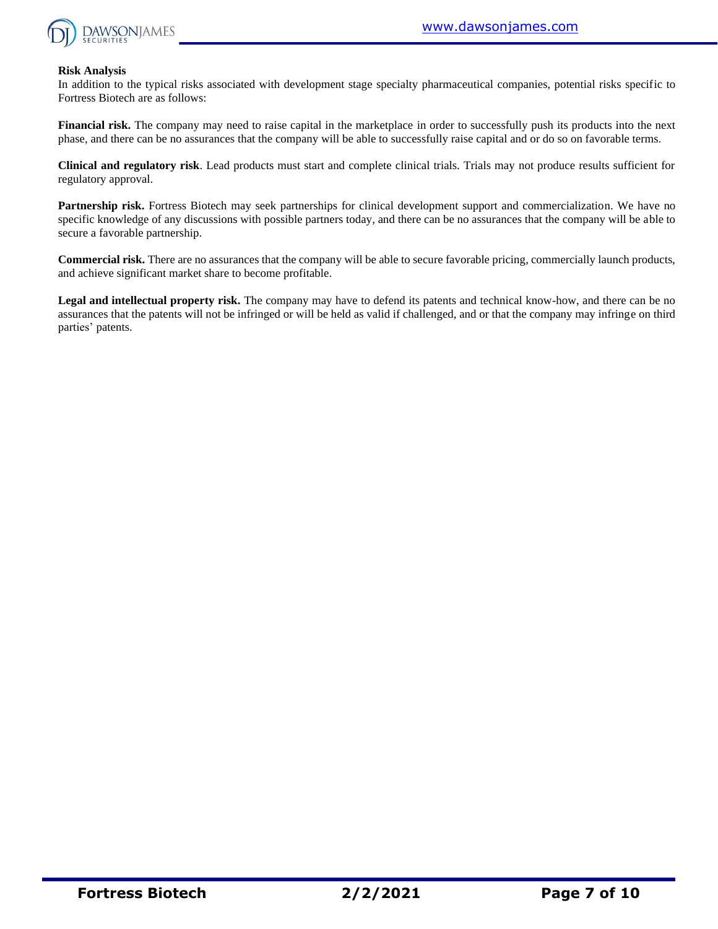

#### **Risk Analysis**

In addition to the typical risks associated with development stage specialty pharmaceutical companies, potential risks specific to Fortress Biotech are as follows:

**Financial risk.** The company may need to raise capital in the marketplace in order to successfully push its products into the next phase, and there can be no assurances that the company will be able to successfully raise capital and or do so on favorable terms.

**Clinical and regulatory risk**. Lead products must start and complete clinical trials. Trials may not produce results sufficient for regulatory approval.

**Partnership risk.** Fortress Biotech may seek partnerships for clinical development support and commercialization. We have no specific knowledge of any discussions with possible partners today, and there can be no assurances that the company will be able to secure a favorable partnership.

**Commercial risk.** There are no assurances that the company will be able to secure favorable pricing, commercially launch products, and achieve significant market share to become profitable.

**Legal and intellectual property risk.** The company may have to defend its patents and technical know-how, and there can be no assurances that the patents will not be infringed or will be held as valid if challenged, and or that the company may infringe on third parties' patents.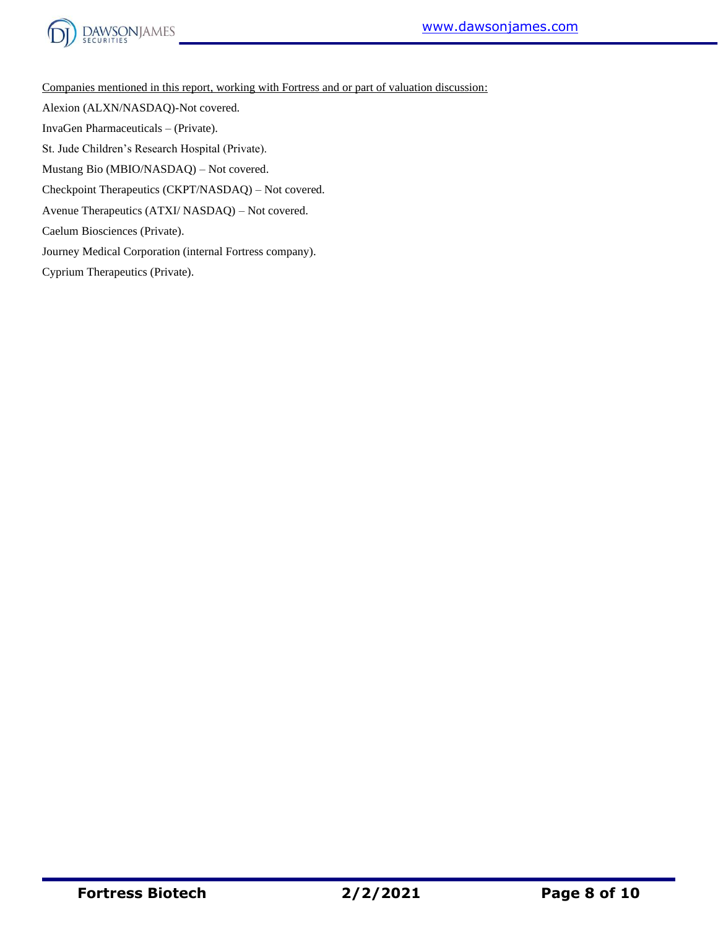



Companies mentioned in this report, working with Fortress and or part of valuation discussion:

Alexion (ALXN/NASDAQ)-Not covered.

InvaGen Pharmaceuticals – (Private).

St. Jude Children's Research Hospital (Private).

Mustang Bio (MBIO/NASDAQ) – Not covered.

Checkpoint Therapeutics (CKPT/NASDAQ) – Not covered.

Avenue Therapeutics (ATXI/ NASDAQ) – Not covered.

Caelum Biosciences (Private).

Journey Medical Corporation (internal Fortress company).

Cyprium Therapeutics (Private).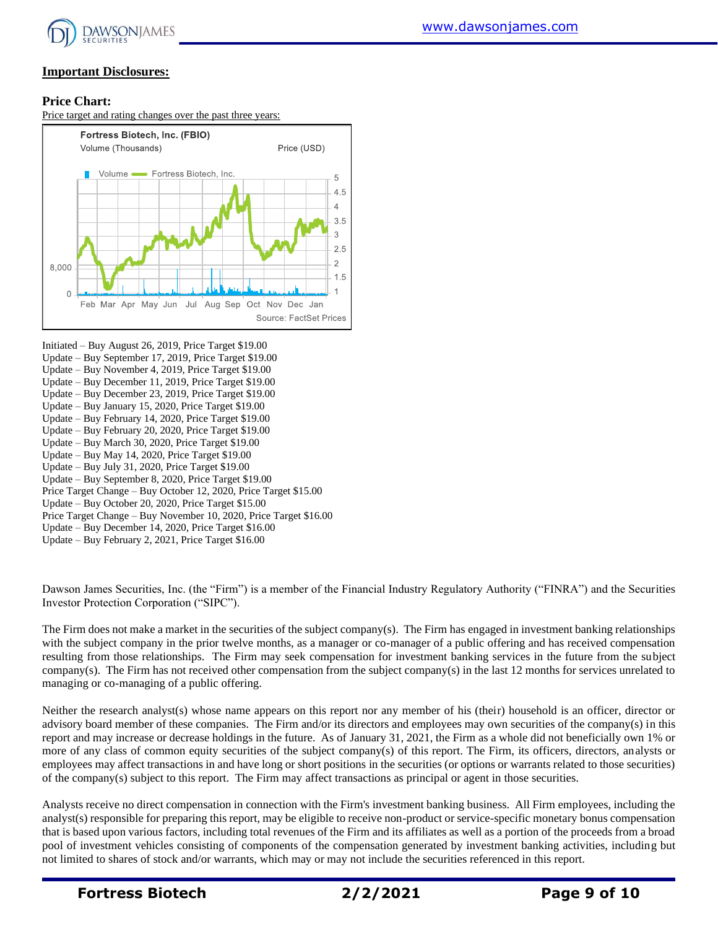

#### **Important Disclosures:**

#### **Price Chart:**

Price target and rating changes over the past three years:



Initiated – Buy August 26, 2019, Price Target \$19.00 Update – Buy September 17, 2019, Price Target \$19.00 Update – Buy November 4, 2019, Price Target \$19.00 Update – Buy December 11, 2019, Price Target \$19.00 Update – Buy December 23, 2019, Price Target \$19.00 Update – Buy January 15, 2020, Price Target \$19.00 Update – Buy February 14, 2020, Price Target \$19.00 Update – Buy February 20, 2020, Price Target \$19.00 Update – Buy March 30, 2020, Price Target \$19.00 Update – Buy May 14, 2020, Price Target \$19.00 Update – Buy July 31, 2020, Price Target \$19.00 Update – Buy September 8, 2020, Price Target \$19.00 Price Target Change – Buy October 12, 2020, Price Target \$15.00 Update – Buy October 20, 2020, Price Target \$15.00 Price Target Change – Buy November 10, 2020, Price Target \$16.00 Update – Buy December 14, 2020, Price Target \$16.00 Update – Buy February 2, 2021, Price Target \$16.00

Dawson James Securities, Inc. (the "Firm") is a member of the Financial Industry Regulatory Authority ("FINRA") and the Securities Investor Protection Corporation ("SIPC").

The Firm does not make a market in the securities of the subject company(s). The Firm has engaged in investment banking relationships with the subject company in the prior twelve months, as a manager or co-manager of a public offering and has received compensation resulting from those relationships. The Firm may seek compensation for investment banking services in the future from the subject company(s). The Firm has not received other compensation from the subject company(s) in the last 12 months for services unrelated to managing or co-managing of a public offering.

Neither the research analyst(s) whose name appears on this report nor any member of his (their) household is an officer, director or advisory board member of these companies. The Firm and/or its directors and employees may own securities of the company(s) in this report and may increase or decrease holdings in the future. As of January 31, 2021, the Firm as a whole did not beneficially own 1% or more of any class of common equity securities of the subject company(s) of this report. The Firm, its officers, directors, analysts or employees may affect transactions in and have long or short positions in the securities (or options or warrants related to those securities) of the company(s) subject to this report. The Firm may affect transactions as principal or agent in those securities.

Analysts receive no direct compensation in connection with the Firm's investment banking business. All Firm employees, including the analyst(s) responsible for preparing this report, may be eligible to receive non-product or service-specific monetary bonus compensation that is based upon various factors, including total revenues of the Firm and its affiliates as well as a portion of the proceeds from a broad pool of investment vehicles consisting of components of the compensation generated by investment banking activities, including but not limited to shares of stock and/or warrants, which may or may not include the securities referenced in this report.